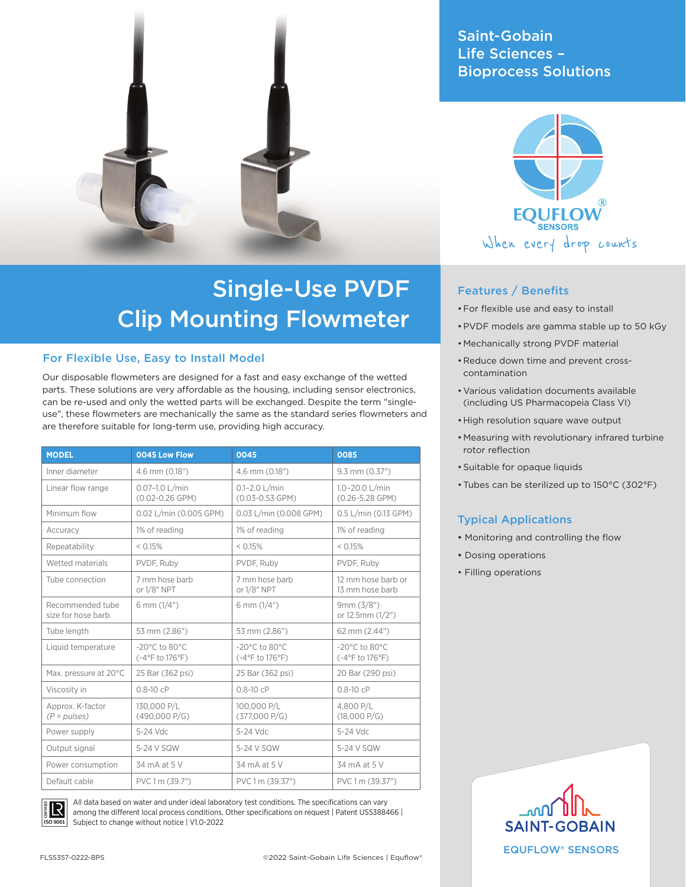

# Single-Use PVDF Clip Mounting Flowmeter

### For Flexible Use, Easy to Install Model

Our disposable flowmeters are designed for a fast and easy exchange of the wetted parts. These solutions are very affordable as the housing, including sensor electronics, can be re-used and only the wetted parts will be exchanged. Despite the term "singleuse", these flowmeters are mechanically the same as the standard series flowmeters and are therefore suitable for long-term use, providing high accuracy.

| <b>MODEL</b>                           | 0045 Low Flow                                         | 0045                                                     | 0085                                                  |
|----------------------------------------|-------------------------------------------------------|----------------------------------------------------------|-------------------------------------------------------|
| Inner diameter                         | 4.6 mm (0.18")                                        | 4.6 mm (0.18")                                           | 9.3 mm (0.37")                                        |
| Linear flow range                      | $0.07 - 1.0$ L/min<br>$(0.02 - 0.26$ GPM)             | $0.1 - 2.0$ L/min<br>$(0.03 - 0.53$ GPM)                 | 1.0-20.0 L/min<br>$(0.26 - 5.28$ GPM)                 |
| Minimum flow                           | 0.02 L/min (0.005 GPM)                                | 0.03 L/min (0.008 GPM)                                   | 0.5 L/min (0.13 GPM)                                  |
| Accuracy                               | 1% of reading                                         | 1% of reading                                            | 1% of reading                                         |
| Repeatability                          | < 0.15%                                               | < 0.15%                                                  | < 0.15%                                               |
| Wetted materials                       | PVDF, Ruby                                            | PVDF. Ruby                                               | PVDF. Ruby                                            |
| Tube connection                        | 7 mm hose barb<br>or 1/8" NPT                         | 7 mm hose barb<br>or 1/8" NPT                            | 12 mm hose barb or<br>13 mm hose barb                 |
| Recommended tube<br>size for hose barb | 6 mm (1/4")                                           | 6 mm (1/4")                                              | 9mm(3/8")<br>or 12.5mm (1/2")                         |
| Tube length                            | 53 mm (2.86")                                         | 53 mm (2.86")                                            | 62 mm (2.44")                                         |
| Liquid temperature                     | $-20^{\circ}$ C to 80 $^{\circ}$ C<br>(-4°F to 176°F) | $-20^{\circ}$ C to 80 $^{\circ}$ C<br>$(-4$ °F to 176°F) | $-20^{\circ}$ C to 80 $^{\circ}$ C<br>(-4°F to 176°F) |
| Max. pressure at 20°C                  | 25 Bar (362 psi)                                      | 25 Bar (362 psi)                                         | 20 Bar (290 psi)                                      |
| Viscosity in                           | $0.8 - 10$ cP                                         | $0.8 - 10$ cP                                            | $0.8 - 10cP$                                          |
| Approx. K-factor<br>$(P = pulses)$     | 130.000 P/L<br>(490,000 P/G)                          | 100,000 P/L<br>(377,000 P/G)                             | 4.800 P/L<br>(18,000 P/G)                             |
| Power supply                           | 5-24 Vdc                                              | 5-24 Vdc                                                 | 5-24 Vdc                                              |
| Output signal                          | 5-24 V SQW                                            | 5-24 V SQW                                               | 5-24 V SQW                                            |
| Power consumption                      | 34 mA at 5 V                                          | 34 mA at 5 V                                             | 34 mA at 5 V                                          |
| Default cable                          | PVC 1 m (39.7")                                       | PVC 1 m (39.37")                                         | PVC 1 m (39.37")                                      |



All data based on water and under ideal laboratory test conditions. The specifications can vary among the different local process conditions. Other specifications on request | Patent US5388466 | Subject to change without notice | V1.0-2022

Saint-Gobain Life Sciences – Bioprocess Solutions



## Features / Benefits

- •For flexible use and easy to install
- •PVDF models are gamma stable up to 50 kGy
- Mechanically strong PVDF material
- Reduce down time and prevent crosscontamination
- •Various validation documents available (including US Pharmacopeia Class VI)
- •High resolution square wave output
- Measuring with revolutionary infrared turbine rotor reflection
- •Suitable for opaque liquids
- •Tubes can be sterilized up to 150°C (302°F)

#### Typical Applications

- Monitoring and controlling the flow
- Dosing operations
- Filling operations